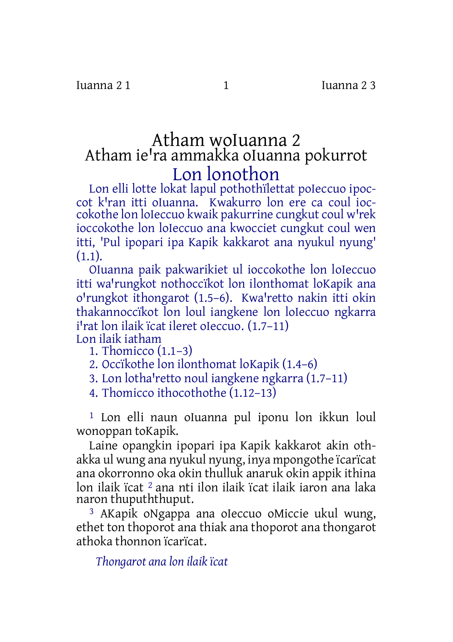## Atham woIuanna 2 Atham ie'ra ammakka oIuanna pokurrot Lon lonothon

Lon elli lotte lokat lapul pothothïlettat poIeccuo ipoccot k'ran itti oIuanna. Kwakurro lon ere ca coul ioccokothe lon loIeccuo kwaik pakurrine cungkut coul w'rek ioccokothe lon loIeccuo ana kwocciet cungkut coul wen itti, 'Pul ipopari ipa Kapik kakkarot ana nyukul nyung'  $(1.1)$ .

OIuanna paik pakwarikiet ul ioccokothe lon loIeccuo itti wa'rungkot nothoccïkot lon ilonthomat loKapik ana o'rungkot ithongarot (1.5–6). Kwa'retto nakin itti okin thakannoccïkot lon loul iangkene lon loIeccuo ngkarra i'rat lon ilaik ïcat ileret oIeccuo. (1.7–11) Lon ilaik iatham

1. Thomicco (1.1–3)

2. Occïkothe lon ilonthomat loKapik (1.4–6)

3. Lon lotha'retto noul iangkene ngkarra (1.7-11)

4. Thomicco ithocothothe (1.12–13)

1 Lon elli naun oIuanna pul iponu lon ikkun loul wonoppan toKapik.

Laine opangkin ipopari ipa Kapik kakkarot akin othakka ul wung ana nyukul nyung, inya mpongothe ïcarïcat ana okorronno oka okin thulluk anaruk okin appik ithina lon ilaik ïcat 2 ana nti ilon ilaik ïcat ilaik iaron ana laka naron thupuththuput.

3 AKapik oNgappa ana oIeccuo oMiccie ukul wung, ethet ton thoporot ana thiak ana thoporot ana thongarot athoka thonnon ïcarïcat.

*Thongarot ana lon ilaik ïcat*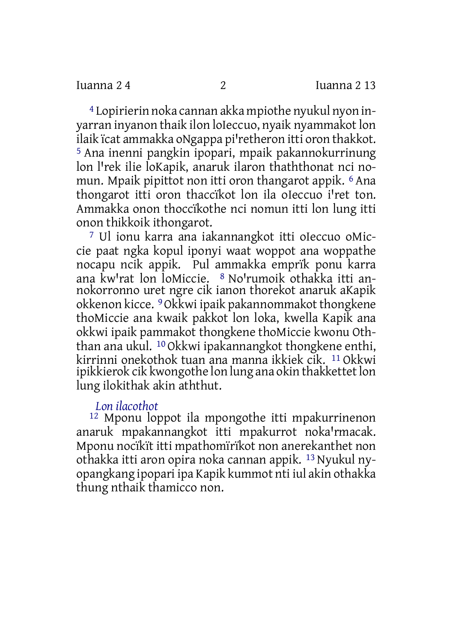4 Lopirierin noka cannan akka mpiothe nyukul nyon inyarran inyanon thaik ilon loIeccuo, nyaik nyammakot lon ilaik ïcat ammakka oNgappa pi'retheron itti oron thakkot. 5 Ana inenni pangkin ipopari, mpaik pakannokurrinung lon l'rek ilie loKapik, anaruk ilaron thaththonat nci nomun. Mpaik pipittot non itti oron thangarot appik. 6 Ana thongarot itti oron thaccïkot lon ila oIeccuo i'ret ton. Ammakka onon thoccïkothe nci nomun itti lon lung itti onon thikkoik ithongarot.

7 Ul ionu karra ana iakannangkot itti oIeccuo oMiccie paat ngka kopul iponyi waat woppot ana woppathe nocapu ncik appik. Pul ammakka emprïk ponu karra ana kw'rat lon loMiccie. <sup>8</sup> No'rumoik othakka itti annokorronno uret ngre cik ianon thorekot anaruk aKapik okkenon kicce. 9Okkwi ipaik pakannommakot thongkene thoMiccie ana kwaik pakkot lon loka, kwella Kapik ana okkwi ipaik pammakot thongkene thoMiccie kwonu Oththan ana ukul. 10 Okkwi ipakannangkot thongkene enthi, kirrinni onekothok tuan ana manna ikkiek cik. 11 Okkwi ipikkierok cik kwongothe lon lung ana okin thakkettet lon lung ilokithak akin aththut.

## *Lon ilacothot*

12 Mponu loppot ila mpongothe itti mpakurrinenon anaruk mpakannangkot itti mpakurrot noka'rmacak. Mponu nocïkït itti mpathomïrïkot non anerekanthet non othakka itti aron opira noka cannan appik. 13 Nyukul nyopangkang ipopari ipa Kapik kummot nti iul akin othakka thung nthaik thamicco non.